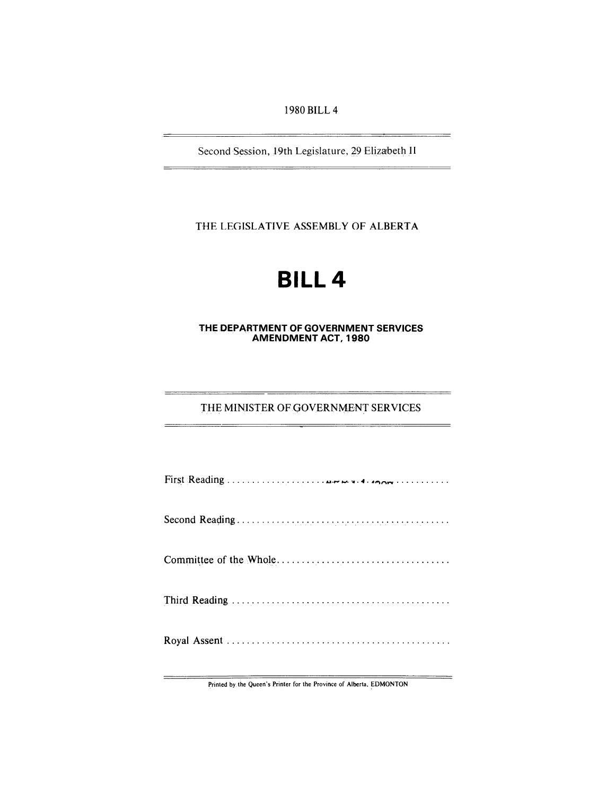1980 BILL 4

Second Session, 19th Legislature, 29 Elizabeth II

THE LEGISLATIVE ASSEMBLY OF ALBERTA

# **BILL4**

## THE DEPARTMENT OF GOVERNMENT SERVICES **AMENDMENT ACT, 1980**

## THE MINISTER OF GOVERNMENT SERVICES

Printed by the Queen's Printer for the Province of Alberta, EDMONTON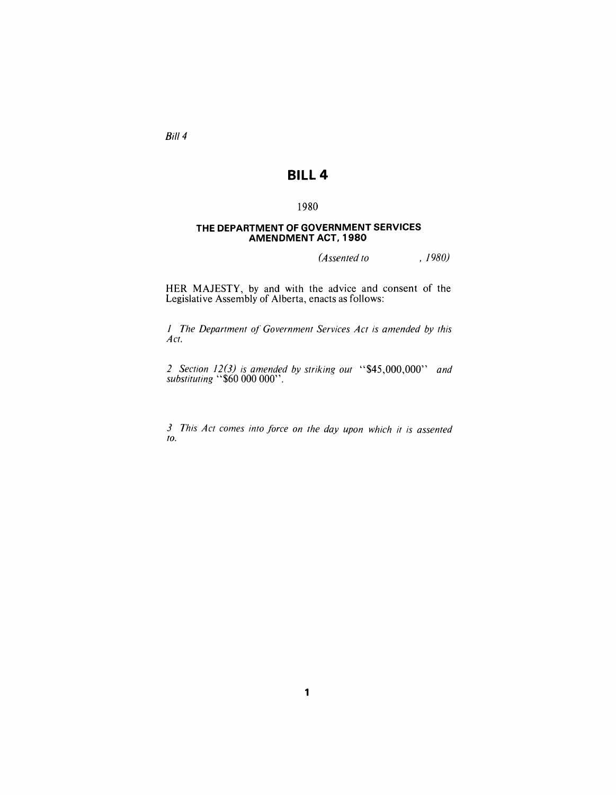Bill 4

## **BILL 4**

## 1980

## **THE DEPARTMENT OF GOVERNMENT SERVICES AMENDMENT ACT, 1980**

*(Assented to , 1980)* 

HER MAJESTY, by and with the advice and consent of the Legislative Assembly of Alberta, enacts as follows:

*1 The Department of Government Services Act is amended by this Act.* 

*2 Section* 12(3) *is amended by striking out* "\$45,000,000" *and substituting* "\$60000 000".

*3 This Act comes into force on the day upon which it is assented to.*